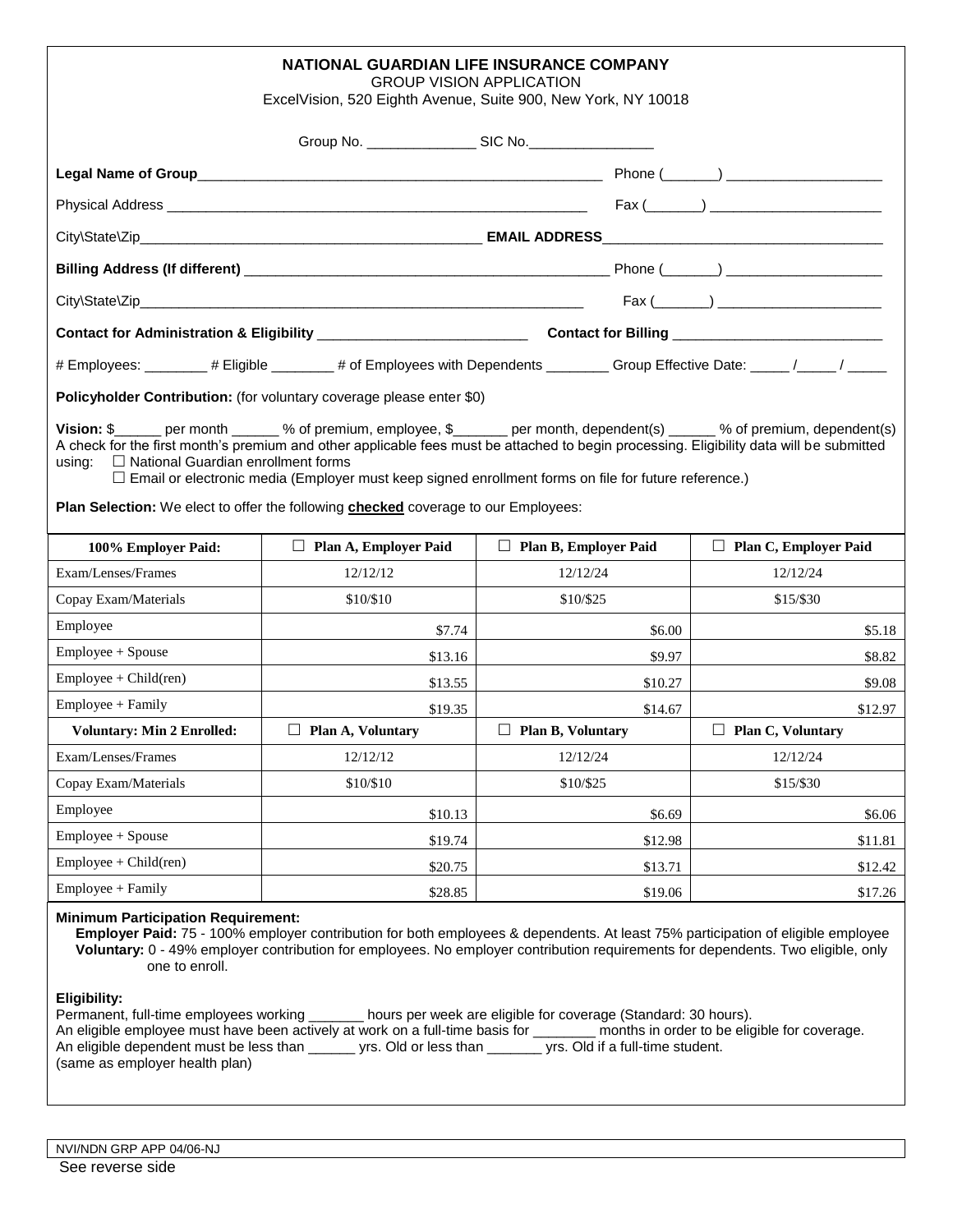| <b>NATIONAL GUARDIAN LIFE INSURANCE COMPANY</b><br><b>GROUP VISION APPLICATION</b><br>ExcelVision, 520 Eighth Avenue, Suite 900, New York, NY 10018                                                                                                                                                                                                                                                                                                                                                                            |                              |                              |                                                                           |  |  |
|--------------------------------------------------------------------------------------------------------------------------------------------------------------------------------------------------------------------------------------------------------------------------------------------------------------------------------------------------------------------------------------------------------------------------------------------------------------------------------------------------------------------------------|------------------------------|------------------------------|---------------------------------------------------------------------------|--|--|
|                                                                                                                                                                                                                                                                                                                                                                                                                                                                                                                                |                              |                              |                                                                           |  |  |
|                                                                                                                                                                                                                                                                                                                                                                                                                                                                                                                                |                              |                              |                                                                           |  |  |
|                                                                                                                                                                                                                                                                                                                                                                                                                                                                                                                                |                              |                              |                                                                           |  |  |
|                                                                                                                                                                                                                                                                                                                                                                                                                                                                                                                                |                              |                              |                                                                           |  |  |
|                                                                                                                                                                                                                                                                                                                                                                                                                                                                                                                                |                              |                              |                                                                           |  |  |
|                                                                                                                                                                                                                                                                                                                                                                                                                                                                                                                                |                              |                              |                                                                           |  |  |
|                                                                                                                                                                                                                                                                                                                                                                                                                                                                                                                                |                              |                              | $\mathsf{Fax} \; (\underline{\hspace{1cm}}) \; \underline{\hspace{1cm}})$ |  |  |
|                                                                                                                                                                                                                                                                                                                                                                                                                                                                                                                                |                              |                              |                                                                           |  |  |
| # Employees: _______ # Eligible ______ # of Employees with Dependents _______ Group Effective Date: ____ /____ /                                                                                                                                                                                                                                                                                                                                                                                                               |                              |                              |                                                                           |  |  |
| Policyholder Contribution: (for voluntary coverage please enter \$0)                                                                                                                                                                                                                                                                                                                                                                                                                                                           |                              |                              |                                                                           |  |  |
| Vision: \$______ per month ______ % of premium, employee, \$______ per month, dependent(s) _____ % of premium, dependent(s)<br>A check for the first month's premium and other applicable fees must be attached to begin processing. Eligibility data will be submitted<br>$\Box$ National Guardian enrollment forms<br>usina:<br>□ Email or electronic media (Employer must keep signed enrollment forms on file for future reference.)<br>Plan Selection: We elect to offer the following checked coverage to our Employees: |                              |                              |                                                                           |  |  |
| 100% Employer Paid:                                                                                                                                                                                                                                                                                                                                                                                                                                                                                                            | $\Box$ Plan A, Employer Paid | $\Box$ Plan B, Employer Paid | $\Box$ Plan C, Employer Paid                                              |  |  |
| Exam/Lenses/Frames                                                                                                                                                                                                                                                                                                                                                                                                                                                                                                             | 12/12/12                     | 12/12/24                     | 12/12/24                                                                  |  |  |
| Copay Exam/Materials                                                                                                                                                                                                                                                                                                                                                                                                                                                                                                           | \$10/\$10                    | \$10/\$25                    | \$15/\$30                                                                 |  |  |
| Employee                                                                                                                                                                                                                                                                                                                                                                                                                                                                                                                       | \$7.74                       | \$6.00                       | \$5.18                                                                    |  |  |
| Employee + Spouse                                                                                                                                                                                                                                                                                                                                                                                                                                                                                                              | \$13.16                      | \$9.97                       | \$8.82                                                                    |  |  |
| $Employee + Child (ren)$                                                                                                                                                                                                                                                                                                                                                                                                                                                                                                       | \$13.55                      | \$10.27                      | \$9.08                                                                    |  |  |
| Employee + Family                                                                                                                                                                                                                                                                                                                                                                                                                                                                                                              | \$19.35                      | \$14.67                      | \$12.97                                                                   |  |  |
| <b>Voluntary: Min 2 Enrolled:</b>                                                                                                                                                                                                                                                                                                                                                                                                                                                                                              | $\Box$ Plan A, Voluntary     | $\Box$ Plan B, Voluntary     | $\Box$ Plan C, Voluntary                                                  |  |  |
| Exam/Lenses/Frames                                                                                                                                                                                                                                                                                                                                                                                                                                                                                                             | 12/12/12                     | 12/12/24                     | 12/12/24                                                                  |  |  |
| Copay Exam/Materials                                                                                                                                                                                                                                                                                                                                                                                                                                                                                                           | \$10/\$10                    | \$10/\$25                    | \$15/\$30                                                                 |  |  |
| Employee                                                                                                                                                                                                                                                                                                                                                                                                                                                                                                                       | \$10.13                      | \$6.69                       | \$6.06                                                                    |  |  |
| Employee + Spouse                                                                                                                                                                                                                                                                                                                                                                                                                                                                                                              | \$19.74                      | \$12.98                      | \$11.81                                                                   |  |  |
| $Employee + Child (ren)$                                                                                                                                                                                                                                                                                                                                                                                                                                                                                                       | \$20.75                      | \$13.71                      | \$12.42                                                                   |  |  |
| $Employee + Family$                                                                                                                                                                                                                                                                                                                                                                                                                                                                                                            | \$28.85                      | \$19.06                      | \$17.26                                                                   |  |  |
| <b>Minimum Participation Requirement:</b><br>Employer Paid: 75 - 100% employer contribution for both employees & dependents. At least 75% participation of eligible employee<br>Voluntary: 0 - 49% employer contribution for employees. No employer contribution requirements for dependents. Two eligible, only<br>one to enroll.                                                                                                                                                                                             |                              |                              |                                                                           |  |  |
| <b>Eligibility:</b><br>Permanent, full-time employees working _______ hours per week are eligible for coverage (Standard: 30 hours).<br>An eligible employee must have been actively at work on a full-time basis for _______ months in order to be eligible for coverage.<br>An eligible dependent must be less than _______ yrs. Old or less than _______ yrs. Old if a full-time student.<br>(same as employer health plan)                                                                                                 |                              |                              |                                                                           |  |  |